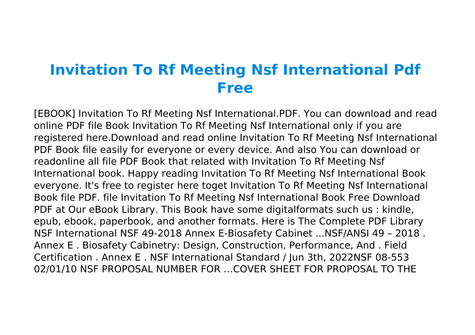## **Invitation To Rf Meeting Nsf International Pdf Free**

[EBOOK] Invitation To Rf Meeting Nsf International.PDF. You can download and read online PDF file Book Invitation To Rf Meeting Nsf International only if you are registered here.Download and read online Invitation To Rf Meeting Nsf International PDF Book file easily for everyone or every device. And also You can download or readonline all file PDF Book that related with Invitation To Rf Meeting Nsf International book. Happy reading Invitation To Rf Meeting Nsf International Book everyone. It's free to register here toget Invitation To Rf Meeting Nsf International Book file PDF. file Invitation To Rf Meeting Nsf International Book Free Download PDF at Our eBook Library. This Book have some digitalformats such us : kindle, epub, ebook, paperbook, and another formats. Here is The Complete PDF Library NSF International NSF 49-2018 Annex E-Biosafety Cabinet ...NSF/ANSI 49 – 2018 . Annex E . Biosafety Cabinetry: Design, Construction, Performance, And . Field Certification . Annex E . NSF International Standard / Jun 3th, 2022NSF 08-553 02/01/10 NSF PROPOSAL NUMBER FOR …COVER SHEET FOR PROPOSAL TO THE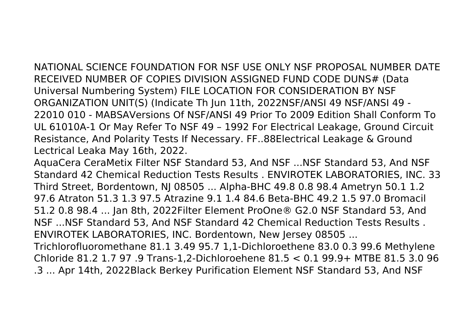NATIONAL SCIENCE FOUNDATION FOR NSF USE ONLY NSF PROPOSAL NUMBER DATE RECEIVED NUMBER OF COPIES DIVISION ASSIGNED FUND CODE DUNS# (Data Universal Numbering System) FILE LOCATION FOR CONSIDERATION BY NSF ORGANIZATION UNIT(S) (Indicate Th Jun 11th, 2022NSF/ANSI 49 NSF/ANSI 49 -22010 010 - MABSAVersions Of NSF/ANSI 49 Prior To 2009 Edition Shall Conform To UL 61010A-1 Or May Refer To NSF 49 – 1992 For Electrical Leakage, Ground Circuit Resistance, And Polarity Tests If Necessary. FF..88Electrical Leakage & Ground Lectrical Leaka May 16th, 2022.

AquaCera CeraMetix Filter NSF Standard 53, And NSF ...NSF Standard 53, And NSF Standard 42 Chemical Reduction Tests Results . ENVIROTEK LABORATORIES, INC. 33 Third Street, Bordentown, NJ 08505 ... Alpha-BHC 49.8 0.8 98.4 Ametryn 50.1 1.2 97.6 Atraton 51.3 1.3 97.5 Atrazine 9.1 1.4 84.6 Beta-BHC 49.2 1.5 97.0 Bromacil 51.2 0.8 98.4 ... Jan 8th, 2022Filter Element ProOne® G2.0 NSF Standard 53, And NSF ...NSF Standard 53, And NSF Standard 42 Chemical Reduction Tests Results . ENVIROTEK LABORATORIES, INC. Bordentown, New Jersey 08505 ... Trichlorofluoromethane 81.1 3.49 95.7 1,1-Dichloroethene 83.0 0.3 99.6 Methylene Chloride 81.2 1.7 97 .9 Trans-1,2-Dichloroehene 81.5 < 0.1 99.9+ MTBE 81.5 3.0 96

.3 ... Apr 14th, 2022Black Berkey Purification Element NSF Standard 53, And NSF